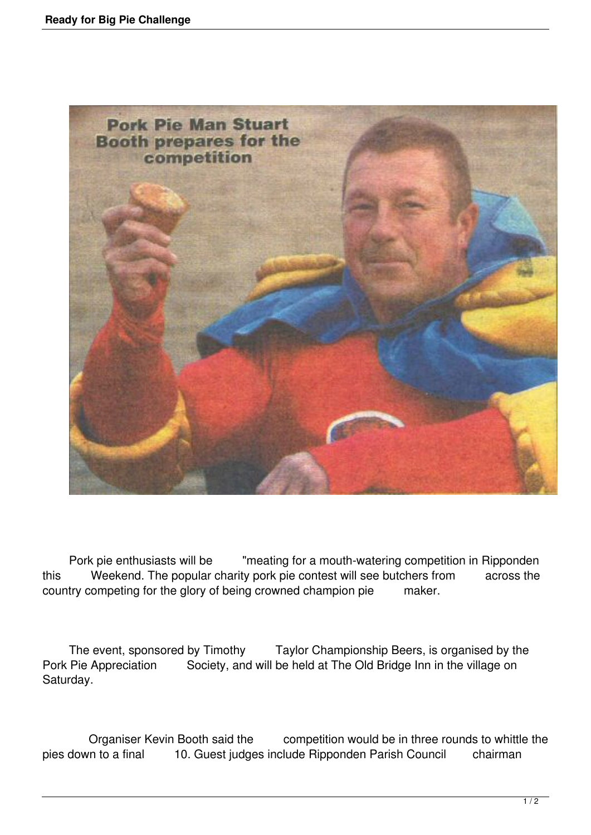

 Pork pie enthusiasts will be "meating for a mouth-watering competition in Ripponden this Weekend. The popular charity pork pie contest will see butchers from across the country competing for the glory of being crowned champion pie maker.

The event, sponsored by Timothy Taylor Championship Beers, is organised by the Pork Pie Appreciation Society, and will be held at The Old Bridge Inn in the village on Saturday.

 Organiser Kevin Booth said the competition would be in three rounds to whittle the pies down to a final 10. Guest judges include Ripponden Parish Council chairman